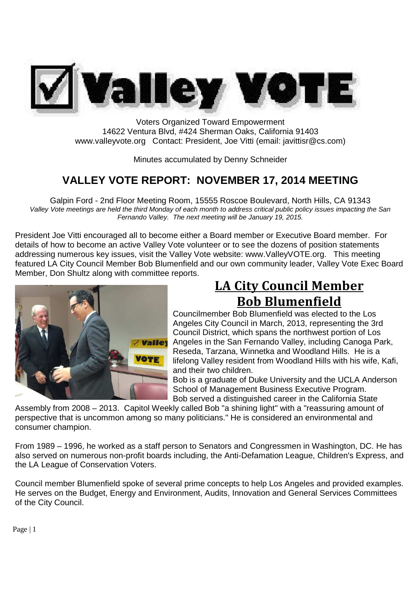

Voters Organized Toward Empowerment 14622 Ventura Blvd, #424 Sherman Oaks, California 91403 www.valleyvote.org Contact: President, Joe Vitti (email: javittisr@cs.com)

Minutes accumulated by Denny Schneider

## **VALLEY VOTE REPORT: NOVEMBER 17, 2014 MEETING**

Galpin Ford - 2nd Floor Meeting Room, 15555 Roscoe Boulevard, North Hills, CA 91343 *Valley Vote meetings are held the third Monday of each month to address critical public policy issues impacting the San Fernando Valley. The next meeting will be January 19, 2015.*

President Joe Vitti encouraged all to become either a Board member or Executive Board member. For details of how to become an active Valley Vote volunteer or to see the dozens of position statements addressing numerous key issues, visit the Valley Vote website: www.ValleyVOTE.org. This meeting featured LA City Council Member Bob Blumenfield and our own community leader, Valley Vote Exec Board Member, Don Shultz along with committee reports.



# **LA City Council Member Bob Blumenfield**

Councilmember Bob Blumenfield was elected to the Los Angeles City Council in March, 2013, representing the 3rd Council District, which spans the northwest portion of Los Angeles in the San Fernando Valley, including Canoga Park, Reseda, Tarzana, Winnetka and Woodland Hills. He is a lifelong Valley resident from Woodland Hills with his wife, Kafi, and their two children.

Bob is a graduate of Duke University and the UCLA Anderson School of Management Business Executive Program. Bob served a distinguished career in the California State

Assembly from 2008 – 2013. Capitol Weekly called Bob "a shining light" with a "reassuring amount of perspective that is uncommon among so many politicians." He is considered an environmental and consumer champion.

From 1989 – 1996, he worked as a staff person to Senators and Congressmen in Washington, DC. He has also served on numerous non-profit boards including, the Anti-Defamation League, Children's Express, and the LA League of Conservation Voters.

Council member Blumenfield spoke of several prime concepts to help Los Angeles and provided examples. He serves on the Budget, Energy and Environment, Audits, Innovation and General Services Committees of the City Council.

Page | 1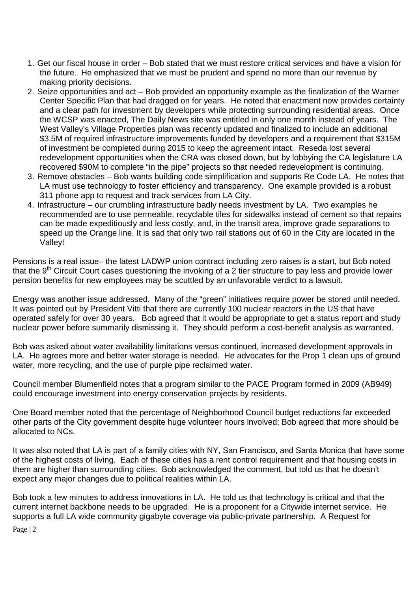- 1. Get our fiscal house in order Bob stated that we must restore critical services and have a vision for the future. He emphasized that we must be prudent and spend no more than our revenue by making priority decisions.
- 2. Seize opportunities and act Bob provided an opportunity example as the finalization of the Warner Center Specific Plan that had dragged on for years. He noted that enactment now provides certainty and a clear path for investment by developers while protecting surrounding residential areas. Once the WCSP was enacted, The Daily News site was entitled in only one month instead of years. The West Valley's Village Properties plan was recently updated and finalized to include an additional \$3.5M of required infrastructure improvements funded by developers and a requirement that \$315M of investment be completed during 2015 to keep the agreement intact. Reseda lost several redevelopment opportunities when the CRA was closed down, but by lobbying the CA legislature LA recovered \$90M to complete "in the pipe" projects so that needed redevelopment is continuing.
- 3. Remove obstacles Bob wants building code simplification and supports Re Code LA. He notes that LA must use technology to foster efficiency and transparency. One example provided is a robust 311 phone app to request and track services from LA City.
- 4. Infrastructure our crumbling infrastructure badly needs investment by LA. Two examples he recommended are to use permeable, recyclable tiles for sidewalks instead of cement so that repairs can be made expeditiously and less costly, and, in the transit area, improve grade separations to speed up the Orange line. It is sad that only two rail stations out of 60 in the City are located in the Valley!

Pensions is a real issue– the latest LADWP union contract including zero raises is a start, but Bob noted that the 9<sup>th</sup> Circuit Court cases questioning the invoking of a 2 tier structure to pay less and provide lower pension benefits for new employees may be scuttled by an unfavorable verdict to a lawsuit.

Energy was another issue addressed. Many of the "green" initiatives require power be stored until needed. It was pointed out by President Vitti that there are currently 100 nuclear reactors in the US that have operated safely for over 30 years. Bob agreed that it would be appropriate to get a status report and study nuclear power before summarily dismissing it. They should perform a cost-benefit analysis as warranted.

Bob was asked about water availability limitations versus continued, increased development approvals in LA. He agrees more and better water storage is needed. He advocates for the Prop 1 clean ups of ground water, more recycling, and the use of purple pipe reclaimed water.

Council member Blumenfield notes that a program similar to the PACE Program formed in 2009 (AB949) could encourage investment into energy conservation projects by residents.

One Board member noted that the percentage of Neighborhood Council budget reductions far exceeded other parts of the City government despite huge volunteer hours involved; Bob agreed that more should be allocated to NCs.

It was also noted that LA is part of a family cities with NY, San Francisco, and Santa Monica that have some of the highest costs of living. Each of these cities has a rent control requirement and that housing costs in them are higher than surrounding cities. Bob acknowledged the comment, but told us that he doesn't expect any major changes due to political realities within LA.

Bob took a few minutes to address innovations in LA. He told us that technology is critical and that the current internet backbone needs to be upgraded. He is a proponent for a Citywide internet service. He supports a full LA wide community gigabyte coverage via public-private partnership. A Request for

Page | 2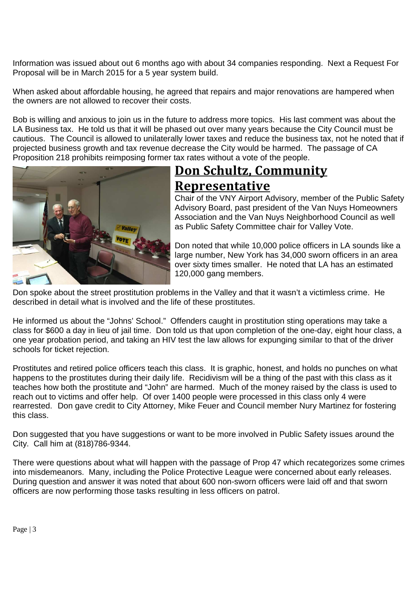Information was issued about out 6 months ago with about 34 companies responding. Next a Request For Proposal will be in March 2015 for a 5 year system build.

When asked about affordable housing, he agreed that repairs and major renovations are hampered when the owners are not allowed to recover their costs.

Bob is willing and anxious to join us in the future to address more topics. His last comment was about the LA Business tax. He told us that it will be phased out over many years because the City Council must be cautious. The Council is allowed to unilaterally lower taxes and reduce the business tax, not he noted that if projected business growth and tax revenue decrease the City would be harmed. The passage of CA Proposition 218 prohibits reimposing former tax rates without a vote of the people.



# **Don Schultz, Community Representative**

Chair of the VNY Airport Advisory, member of the Public Safety Advisory Board, past president of the Van Nuys Homeowners Association and the Van Nuys Neighborhood Council as well as Public Safety Committee chair for Valley Vote.

Don noted that while 10,000 police officers in LA sounds like a large number, New York has 34,000 sworn officers in an area over sixty times smaller. He noted that LA has an estimated 120,000 gang members.

Don spoke about the street prostitution problems in the Valley and that it wasn't a victimless crime. He described in detail what is involved and the life of these prostitutes.

He informed us about the "Johns' School." Offenders caught in prostitution sting operations may take a class for \$600 a day in lieu of jail time. Don told us that upon completion of the one-day, eight hour class, a one year probation period, and taking an HIV test the law allows for expunging similar to that of the driver schools for ticket rejection.

Prostitutes and retired police officers teach this class. It is graphic, honest, and holds no punches on what happens to the prostitutes during their daily life. Recidivism will be a thing of the past with this class as it teaches how both the prostitute and "John" are harmed. Much of the money raised by the class is used to reach out to victims and offer help. Of over 1400 people were processed in this class only 4 were rearrested. Don gave credit to City Attorney, Mike Feuer and Council member Nury Martinez for fostering this class.

Don suggested that you have suggestions or want to be more involved in Public Safety issues around the City. Call him at (818)786-9344.

There were questions about what will happen with the passage of Prop 47 which recategorizes some crimes into misdemeanors. Many, including the Police Protective League were concerned about early releases. During question and answer it was noted that about 600 non-sworn officers were laid off and that sworn officers are now performing those tasks resulting in less officers on patrol.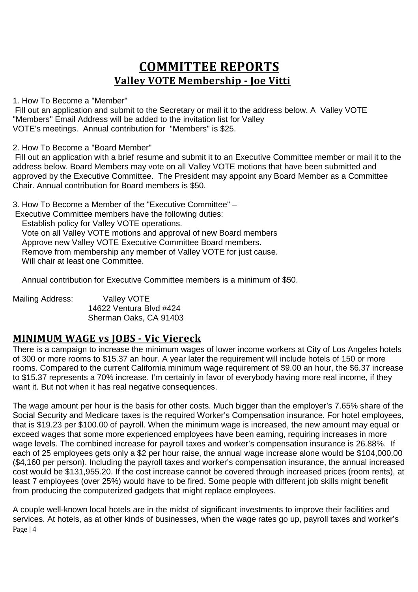## **COMMITTEE REPORTS Valley VOTE Membership - Joe Vitti**

1. How To Become a "Member"

Fill out an application and submit to the Secretary or mail it to the address below. A Valley VOTE "Members" Email Address will be added to the invitation list for Valley VOTE's meetings. Annual contribution for "Members" is \$25.

2. How To Become a "Board Member"

Fill out an application with a brief resume and submit it to an Executive Committee member or mail it to the address below. Board Members may vote on all Valley VOTE motions that have been submitted and approved by the Executive Committee. The President may appoint any Board Member as a Committee Chair. Annual contribution for Board members is \$50.

3. How To Become a Member of the "Executive Committee" – Executive Committee members have the following duties: Establish policy for Valley VOTE operations. Vote on all Valley VOTE motions and approval of new Board members Approve new Valley VOTE Executive Committee Board members. Remove from membership any member of Valley VOTE for just cause. Will chair at least one Committee.

Annual contribution for Executive Committee members is a minimum of \$50.

Mailing Address: Valley VOTE 14622 Ventura Blvd #424 Sherman Oaks, CA 91403

#### **MINIMUM WAGE vs JOBS - Vic Viereck**

There is a campaign to increase the minimum wages of lower income workers at City of Los Angeles hotels of 300 or more rooms to \$15.37 an hour. A year later the requirement will include hotels of 150 or more rooms. Compared to the current California minimum wage requirement of \$9.00 an hour, the \$6.37 increase to \$15.37 represents a 70% increase. I'm certainly in favor of everybody having more real income, if they want it. But not when it has real negative consequences.

The wage amount per hour is the basis for other costs. Much bigger than the employer's 7.65% share of the Social Security and Medicare taxes is the required Worker's Compensation insurance. For hotel employees, that is \$19.23 per \$100.00 of payroll. When the minimum wage is increased, the new amount may equal or exceed wages that some more experienced employees have been earning, requiring increases in more wage levels. The combined increase for payroll taxes and worker's compensation insurance is 26.88%. If each of 25 employees gets only a \$2 per hour raise, the annual wage increase alone would be \$104,000.00 (\$4,160 per person). Including the payroll taxes and worker's compensation insurance, the annual increased cost would be \$131,955.20. If the cost increase cannot be covered through increased prices (room rents), at least 7 employees (over 25%) would have to be fired. Some people with different job skills might benefit from producing the computerized gadgets that might replace employees.

Page | 4 A couple well-known local hotels are in the midst of significant investments to improve their facilities and services. At hotels, as at other kinds of businesses, when the wage rates go up, payroll taxes and worker's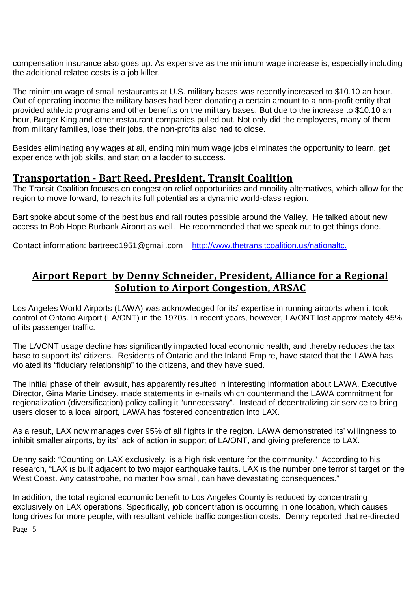compensation insurance also goes up. As expensive as the minimum wage increase is, especially including the additional related costs is a job killer.

The minimum wage of small restaurants at U.S. military bases was recently increased to \$10.10 an hour. Out of operating income the military bases had been donating a certain amount to a non-profit entity that provided athletic programs and other benefits on the military bases. But due to the increase to \$10.10 an hour, Burger King and other restaurant companies pulled out. Not only did the employees, many of them from military families, lose their jobs, the non-profits also had to close.

Besides eliminating any wages at all, ending minimum wage jobs eliminates the opportunity to learn, get experience with job skills, and start on a ladder to success.

#### **Transportation - Bart Reed, President, Transit Coalition**

The Transit Coalition focuses on congestion relief opportunities and mobility alternatives, which allow for the region to move forward, to reach its full potential as a dynamic world-class region.

Bart spoke about some of the best bus and rail routes possible around the Valley. He talked about new access to Bob Hope Burbank Airport as well. He recommended that we speak out to get things done.

Contact information: bartreed1951@gmail.com http://www.thetransitcoalition.us/nationaltc.

### **Airport Report by Denny Schneider, President, Alliance for a Regional Solution to Airport Congestion, ARSAC**

Los Angeles World Airports (LAWA) was acknowledged for its' expertise in running airports when it took control of Ontario Airport (LA/ONT) in the 1970s. In recent years, however, LA/ONT lost approximately 45% of its passenger traffic.

The LA/ONT usage decline has significantly impacted local economic health, and thereby reduces the tax base to support its' citizens. Residents of Ontario and the Inland Empire, have stated that the LAWA has violated its "fiduciary relationship" to the citizens, and they have sued.

The initial phase of their lawsuit, has apparently resulted in interesting information about LAWA. Executive Director, Gina Marie Lindsey, made statements in e-mails which countermand the LAWA commitment for regionalization (diversification) policy calling it "unnecessary". Instead of decentralizing air service to bring users closer to a local airport, LAWA has fostered concentration into LAX.

As a result, LAX now manages over 95% of all flights in the region. LAWA demonstrated its' willingness to inhibit smaller airports, by its' lack of action in support of LA/ONT, and giving preference to LAX.

Denny said: "Counting on LAX exclusively, is a high risk venture for the community." According to his research, "LAX is built adjacent to two major earthquake faults. LAX is the number one terrorist target on the West Coast. Any catastrophe, no matter how small, can have devastating consequences."

In addition, the total regional economic benefit to Los Angeles County is reduced by concentrating exclusively on LAX operations. Specifically, job concentration is occurring in one location, which causes long drives for more people, with resultant vehicle traffic congestion costs. Denny reported that re-directed

Page | 5